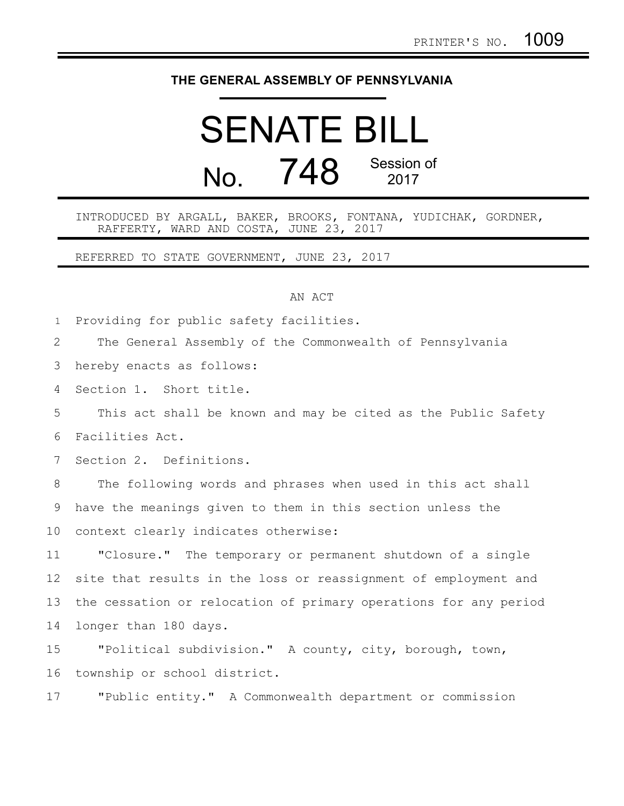## **THE GENERAL ASSEMBLY OF PENNSYLVANIA**

## SENATE BILL  $N<sub>0</sub>$   $748$  Session of 2017

INTRODUCED BY ARGALL, BAKER, BROOKS, FONTANA, YUDICHAK, GORDNER, RAFFERTY, WARD AND COSTA, JUNE 23, 2017

REFERRED TO STATE GOVERNMENT, JUNE 23, 2017

## AN ACT

Providing for public safety facilities. 1

The General Assembly of the Commonwealth of Pennsylvania 2

hereby enacts as follows: 3

Section 1. Short title. 4

This act shall be known and may be cited as the Public Safety Facilities Act. 5 6

Section 2. Definitions. 7

The following words and phrases when used in this act shall have the meanings given to them in this section unless the context clearly indicates otherwise: 8 9 10

"Closure." The temporary or permanent shutdown of a single site that results in the loss or reassignment of employment and the cessation or relocation of primary operations for any period longer than 180 days. 11 12 13 14

"Political subdivision." A county, city, borough, town, township or school district. 15 16

"Public entity." A Commonwealth department or commission 17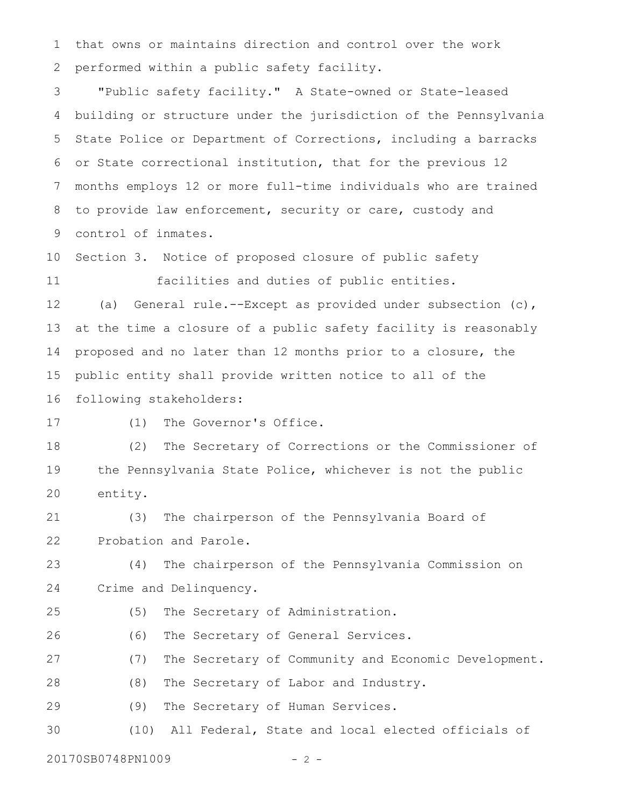that owns or maintains direction and control over the work performed within a public safety facility. 1 2

"Public safety facility." A State-owned or State-leased building or structure under the jurisdiction of the Pennsylvania State Police or Department of Corrections, including a barracks or State correctional institution, that for the previous 12 months employs 12 or more full-time individuals who are trained to provide law enforcement, security or care, custody and control of inmates. 3 4 5 6 7 8 9

Section 3. Notice of proposed closure of public safety facilities and duties of public entities. 10 11

(a) General rule.--Except as provided under subsection (c), at the time a closure of a public safety facility is reasonably proposed and no later than 12 months prior to a closure, the public entity shall provide written notice to all of the following stakeholders: 12 13 14 15 16

17

(1) The Governor's Office.

(2) The Secretary of Corrections or the Commissioner of the Pennsylvania State Police, whichever is not the public entity. 18 19 20

(3) The chairperson of the Pennsylvania Board of Probation and Parole. 21 22

(4) The chairperson of the Pennsylvania Commission on Crime and Delinquency. 23 24

(5) The Secretary of Administration. 25

(6) The Secretary of General Services. 26

(7) The Secretary of Community and Economic Development. 27

(8) The Secretary of Labor and Industry. 28

(9) The Secretary of Human Services. 29

(10) All Federal, State and local elected officials of 30

20170SB0748PN1009 - 2 -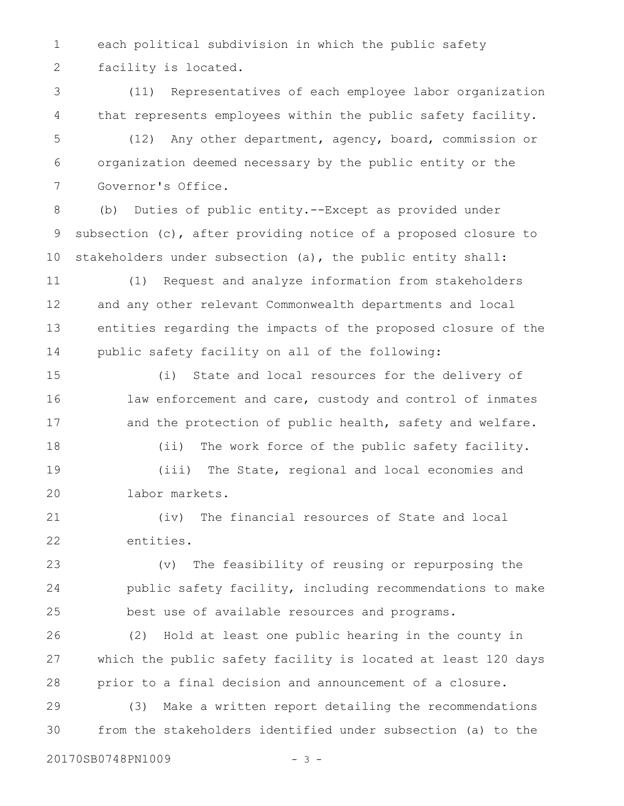each political subdivision in which the public safety facility is located. 1 2

(11) Representatives of each employee labor organization that represents employees within the public safety facility. 3 4

(12) Any other department, agency, board, commission or organization deemed necessary by the public entity or the Governor's Office. 5 6 7

(b) Duties of public entity.--Except as provided under subsection (c), after providing notice of a proposed closure to stakeholders under subsection (a), the public entity shall: 8 9 10

(1) Request and analyze information from stakeholders and any other relevant Commonwealth departments and local entities regarding the impacts of the proposed closure of the public safety facility on all of the following: 11 12 13 14

(i) State and local resources for the delivery of law enforcement and care, custody and control of inmates and the protection of public health, safety and welfare. 15 16 17

(ii) The work force of the public safety facility. (iii) The State, regional and local economies and labor markets. 18 19 20

(iv) The financial resources of State and local entities. 21 22

(v) The feasibility of reusing or repurposing the public safety facility, including recommendations to make best use of available resources and programs. 23 24 25

(2) Hold at least one public hearing in the county in which the public safety facility is located at least 120 days prior to a final decision and announcement of a closure. 26 27 28

(3) Make a written report detailing the recommendations from the stakeholders identified under subsection (a) to the 29 30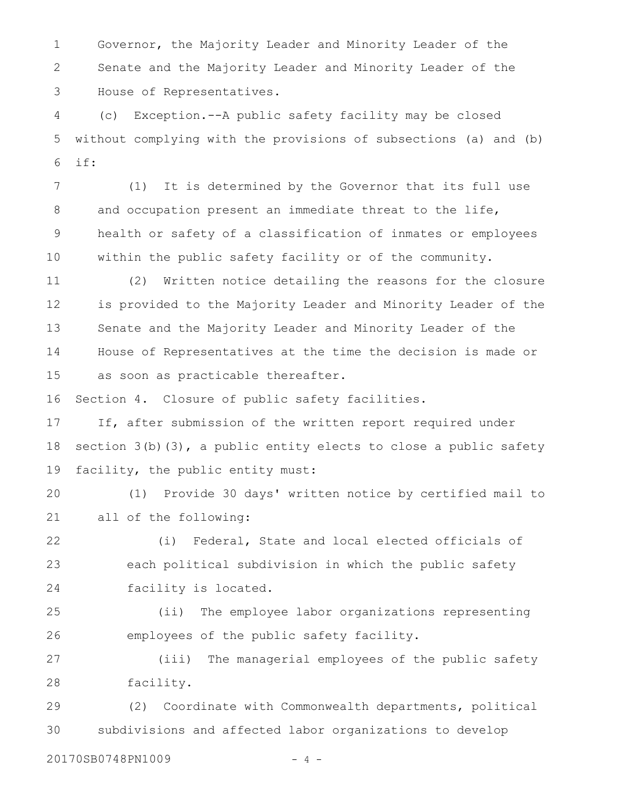Governor, the Majority Leader and Minority Leader of the Senate and the Majority Leader and Minority Leader of the House of Representatives. 1 2 3

(c) Exception.--A public safety facility may be closed without complying with the provisions of subsections (a) and (b) if: 4 5 6

(1) It is determined by the Governor that its full use and occupation present an immediate threat to the life, health or safety of a classification of inmates or employees within the public safety facility or of the community. 7 8 9 10

(2) Written notice detailing the reasons for the closure is provided to the Majority Leader and Minority Leader of the Senate and the Majority Leader and Minority Leader of the House of Representatives at the time the decision is made or as soon as practicable thereafter. 11 12 13 14 15

Section 4. Closure of public safety facilities. 16

If, after submission of the written report required under section  $3(b)(3)$ , a public entity elects to close a public safety facility, the public entity must: 17 18 19

(1) Provide 30 days' written notice by certified mail to all of the following: 20 21

(i) Federal, State and local elected officials of each political subdivision in which the public safety facility is located. 22 23 24

(ii) The employee labor organizations representing employees of the public safety facility. 25 26

(iii) The managerial employees of the public safety facility. 27 28

(2) Coordinate with Commonwealth departments, political subdivisions and affected labor organizations to develop 29 30

20170SB0748PN1009 - 4 -